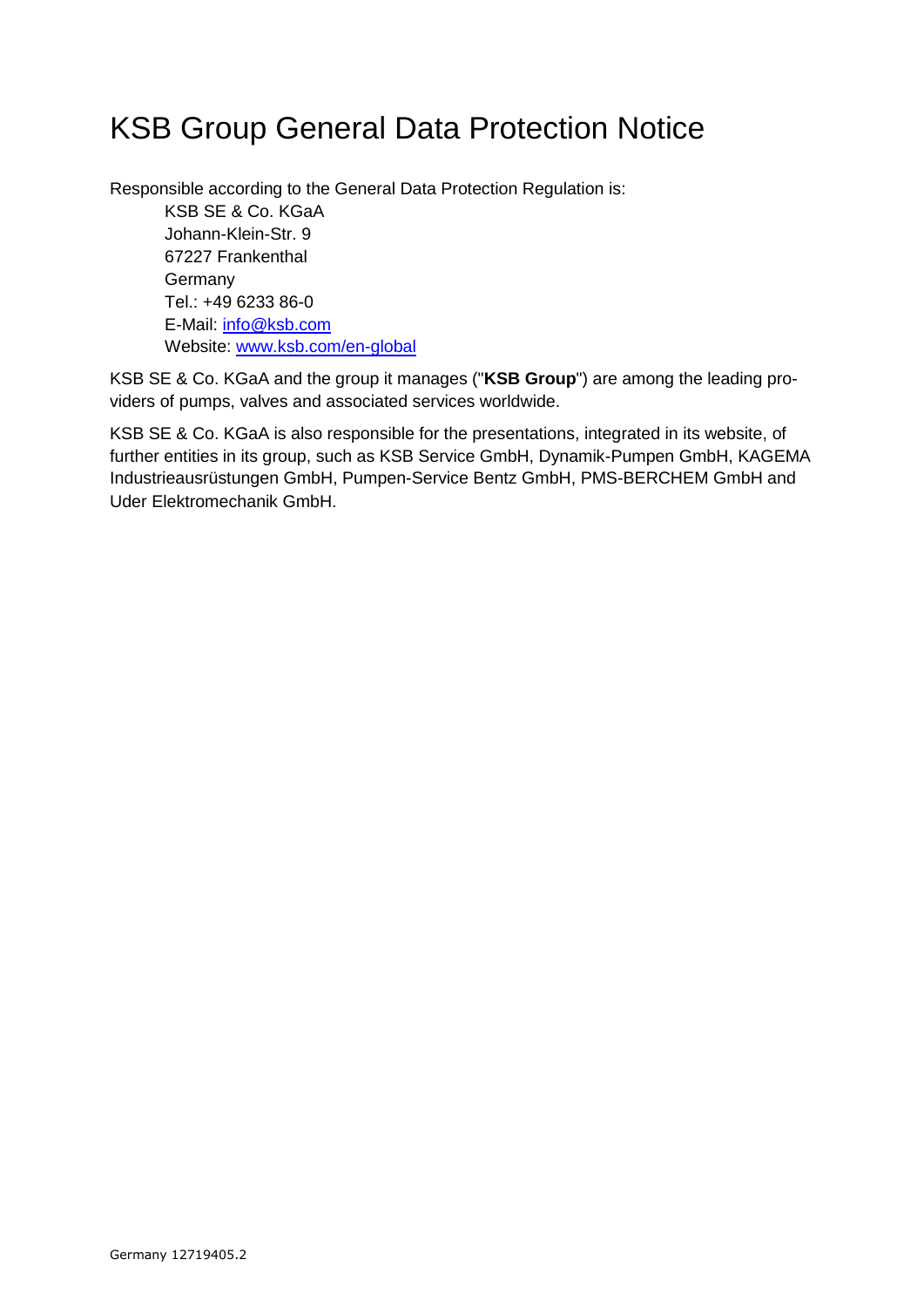# KSB Group General Data Protection Notice

Responsible according to the General Data Protection Regulation is:

KSB SE & Co. KGaA Johann-Klein-Str. 9 67227 Frankenthal Germany Tel.: +49 6233 86-0 E-Mail: [info@ksb.com](mailto:info@ksb.com) Website: [www.ksb.com/en-global](http://www.ksb.com/en-global)

KSB SE & Co. KGaA and the group it manages ("**KSB Group**") are among the leading providers of pumps, valves and associated services worldwide.

KSB SE & Co. KGaA is also responsible for the presentations, integrated in its website, of further entities in its group, such as KSB Service GmbH, Dynamik-Pumpen GmbH, KAGEMA Industrieausrüstungen GmbH, Pumpen-Service Bentz GmbH, PMS-BERCHEM GmbH and Uder Elektromechanik GmbH.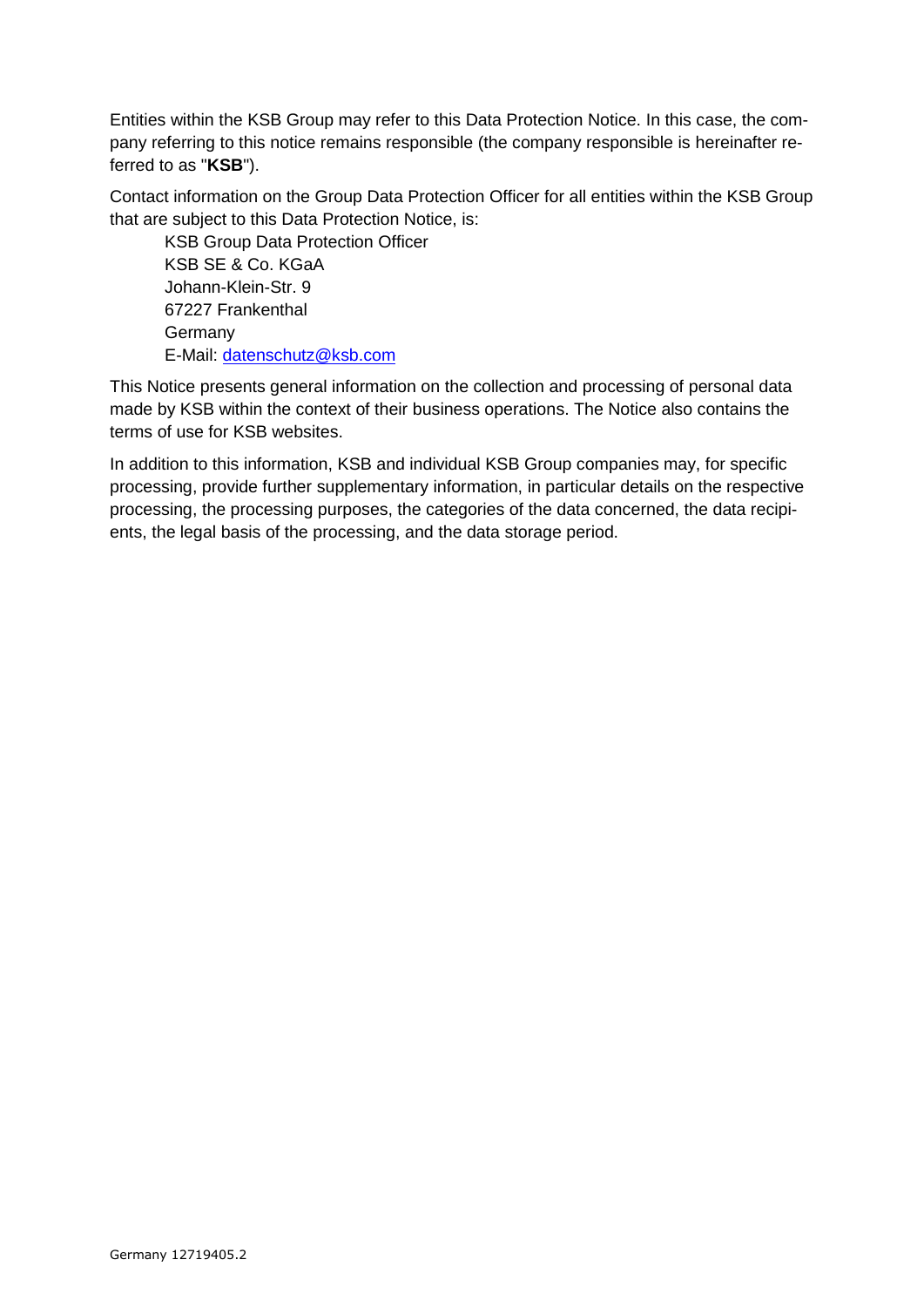Entities within the KSB Group may refer to this Data Protection Notice. In this case, the company referring to this notice remains responsible (the company responsible is hereinafter referred to as "**KSB**").

Contact information on the Group Data Protection Officer for all entities within the KSB Group that are subject to this Data Protection Notice, is:

KSB Group Data Protection Officer KSB SE & Co. KGaA Johann-Klein-Str. 9 67227 Frankenthal Germany E-Mail: [datenschutz@ksb.com](mailto:datenschutz@ksb.com)

This Notice presents general information on the collection and processing of personal data made by KSB within the context of their business operations. The Notice also contains the terms of use for KSB websites.

In addition to this information, KSB and individual KSB Group companies may, for specific processing, provide further supplementary information, in particular details on the respective processing, the processing purposes, the categories of the data concerned, the data recipients, the legal basis of the processing, and the data storage period.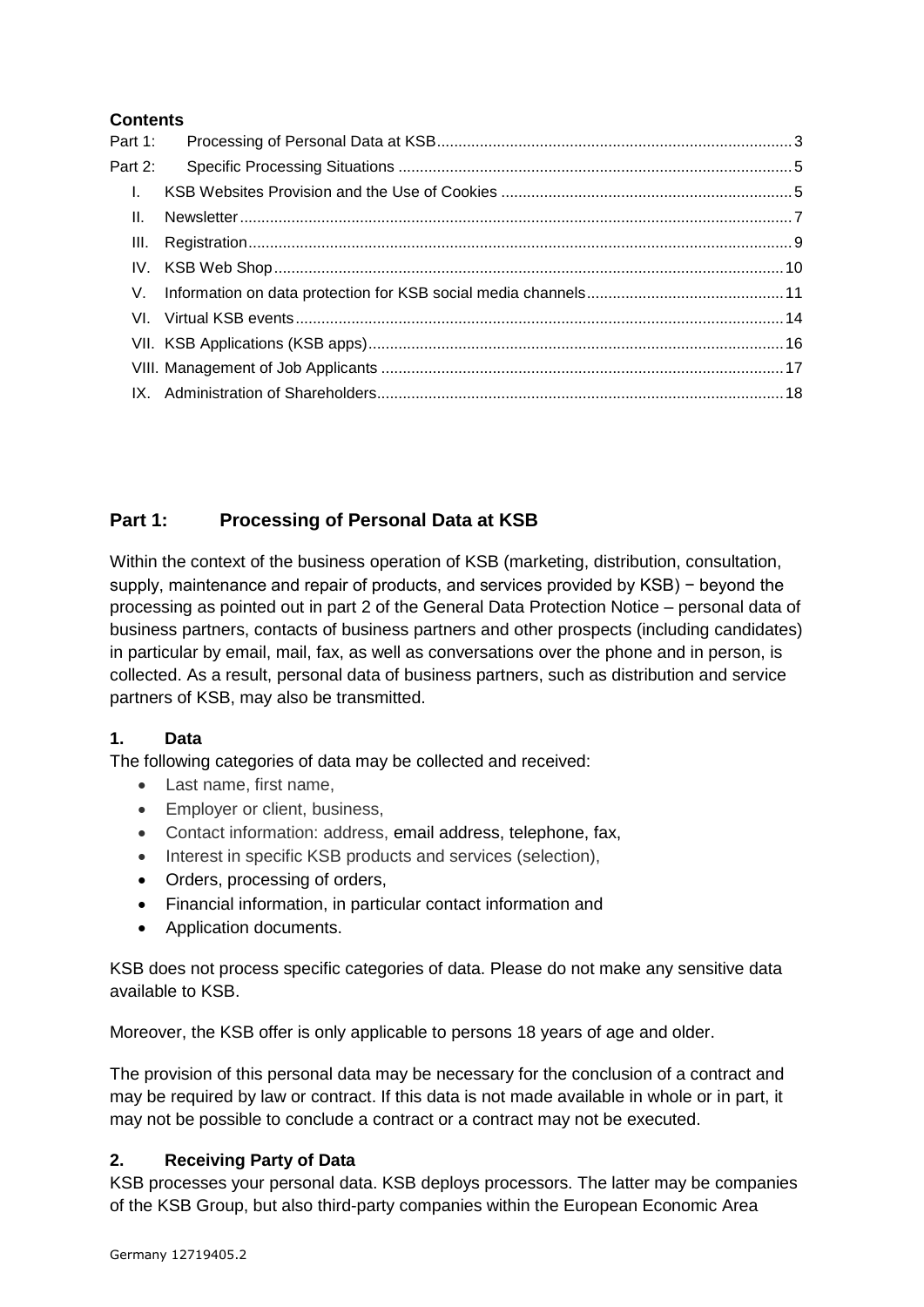# **Contents**

| Part 1:      |  |
|--------------|--|
| Part 2:      |  |
| $\mathbf{L}$ |  |
| $\Pi$ .      |  |
|              |  |
|              |  |
|              |  |
|              |  |
|              |  |
|              |  |
|              |  |

# <span id="page-2-0"></span>**Part 1: Processing of Personal Data at KSB**

Within the context of the business operation of KSB (marketing, distribution, consultation, supply, maintenance and repair of products, and services provided by KSB) – beyond the processing as pointed out in part 2 of the General Data Protection Notice – personal data of business partners, contacts of business partners and other prospects (including candidates) in particular by email, mail, fax, as well as conversations over the phone and in person, is collected. As a result, personal data of business partners, such as distribution and service partners of KSB, may also be transmitted.

# **1. Data**

The following categories of data may be collected and received:

- Last name, first name,
- Employer or client, business,
- Contact information: address, email address, telephone, fax,
- Interest in specific KSB products and services (selection),
- Orders, processing of orders,
- Financial information, in particular contact information and
- Application documents.

KSB does not process specific categories of data. Please do not make any sensitive data available to KSB.

Moreover, the KSB offer is only applicable to persons 18 years of age and older.

The provision of this personal data may be necessary for the conclusion of a contract and may be required by law or contract. If this data is not made available in whole or in part, it may not be possible to conclude a contract or a contract may not be executed.

# **2. Receiving Party of Data**

KSB processes your personal data. KSB deploys processors. The latter may be companies of the KSB Group, but also third-party companies within the European Economic Area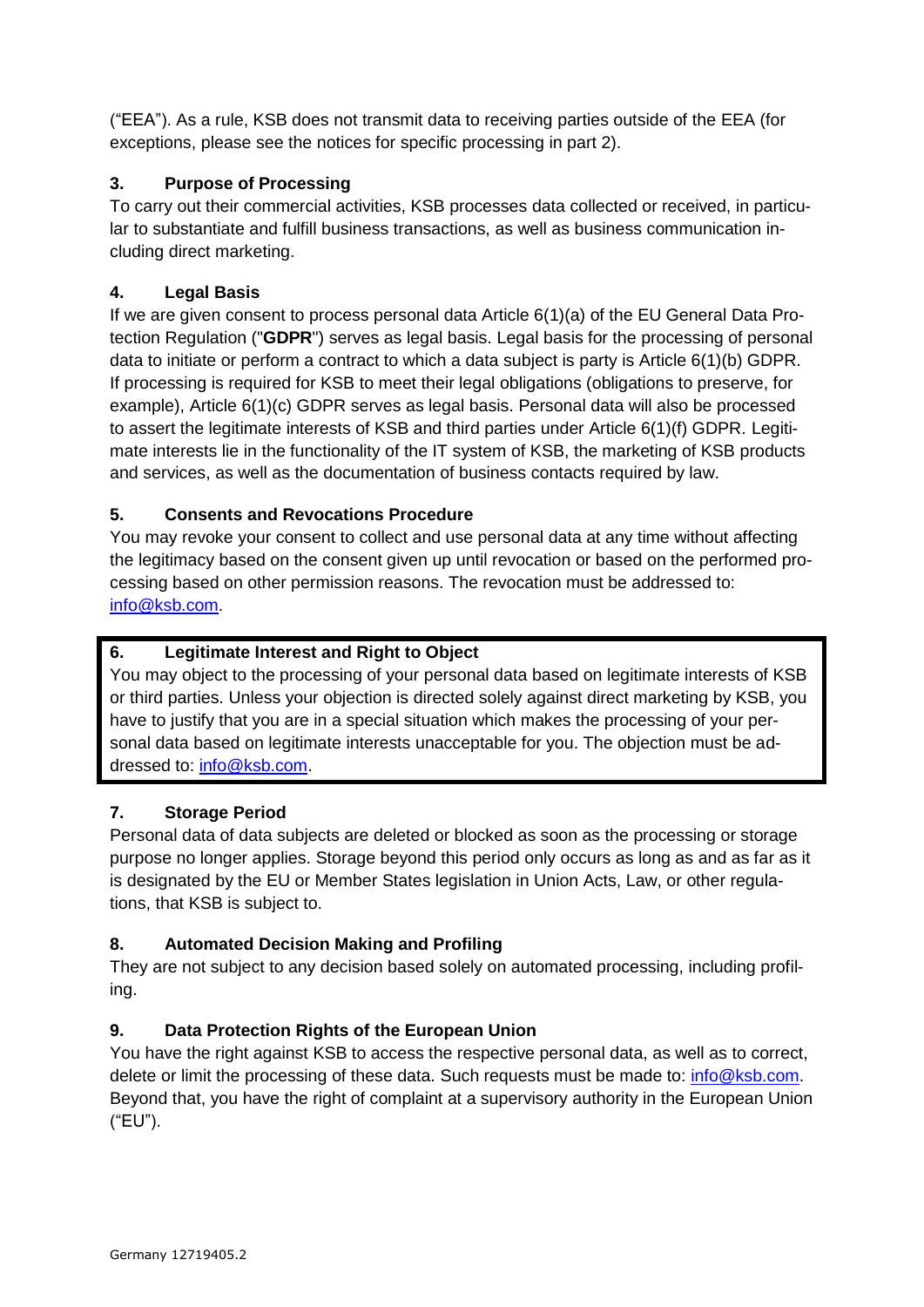("EEA"). As a rule, KSB does not transmit data to receiving parties outside of the EEA (for exceptions, please see the notices for specific processing in part 2).

# **3. Purpose of Processing**

To carry out their commercial activities, KSB processes data collected or received, in particular to substantiate and fulfill business transactions, as well as business communication including direct marketing.

# **4. Legal Basis**

If we are given consent to process personal data Article 6(1)(a) of the EU General Data Protection Regulation ("**GDPR**") serves as legal basis. Legal basis for the processing of personal data to initiate or perform a contract to which a data subject is party is Article 6(1)(b) GDPR. If processing is required for KSB to meet their legal obligations (obligations to preserve, for example), Article 6(1)(c) GDPR serves as legal basis. Personal data will also be processed to assert the legitimate interests of KSB and third parties under Article 6(1)(f) GDPR. Legitimate interests lie in the functionality of the IT system of KSB, the marketing of KSB products and services, as well as the documentation of business contacts required by law.

# **5. Consents and Revocations Procedure**

You may revoke your consent to collect and use personal data at any time without affecting the legitimacy based on the consent given up until revocation or based on the performed processing based on other permission reasons. The revocation must be addressed to: [info@ksb.com.](mailto:info@ksb.com)

# **6. Legitimate Interest and Right to Object**

You may object to the processing of your personal data based on legitimate interests of KSB or third parties. Unless your objection is directed solely against direct marketing by KSB, you have to justify that you are in a special situation which makes the processing of your personal data based on legitimate interests unacceptable for you. The objection must be addressed to: [info@ksb.com.](mailto:info@ksb.com)

# **7. Storage Period**

Personal data of data subjects are deleted or blocked as soon as the processing or storage purpose no longer applies. Storage beyond this period only occurs as long as and as far as it is designated by the EU or Member States legislation in Union Acts, Law, or other regulations, that KSB is subject to.

# **8. Automated Decision Making and Profiling**

They are not subject to any decision based solely on automated processing, including profiling.

# **9. Data Protection Rights of the European Union**

You have the right against KSB to access the respective personal data, as well as to correct, delete or limit the processing of these data. Such requests must be made to: [info@ksb.com.](mailto:info@ksb.com) Beyond that, you have the right of complaint at a supervisory authority in the European Union ("EU").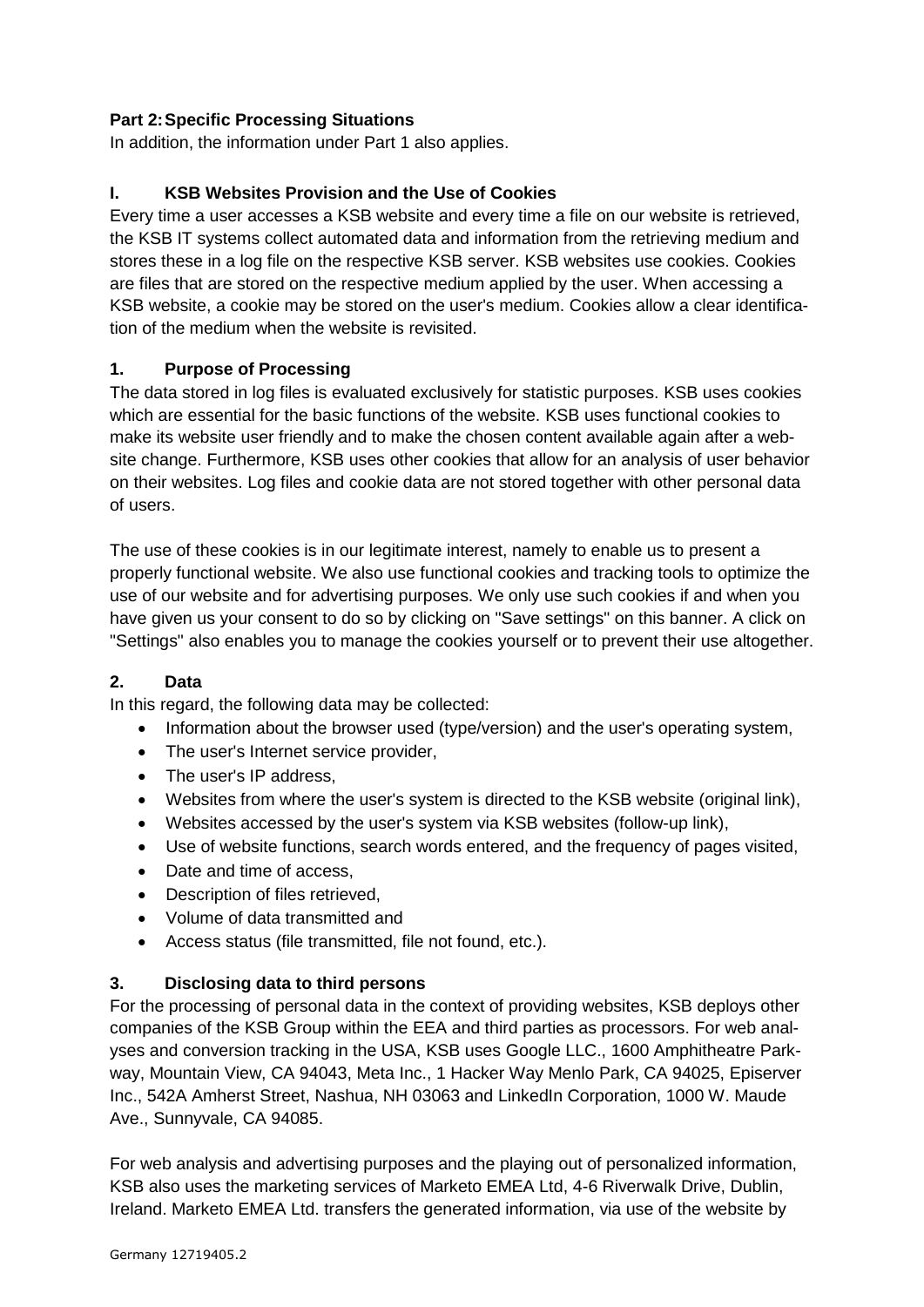# <span id="page-4-0"></span>**Part 2:Specific Processing Situations**

<span id="page-4-1"></span>In addition, the information under Part 1 also applies.

# **I. KSB Websites Provision and the Use of Cookies**

Every time a user accesses a KSB website and every time a file on our website is retrieved, the KSB IT systems collect automated data and information from the retrieving medium and stores these in a log file on the respective KSB server. KSB websites use cookies. Cookies are files that are stored on the respective medium applied by the user. When accessing a KSB website, a cookie may be stored on the user's medium. Cookies allow a clear identification of the medium when the website is revisited.

### **1. Purpose of Processing**

The data stored in log files is evaluated exclusively for statistic purposes. KSB uses cookies which are essential for the basic functions of the website. KSB uses functional cookies to make its website user friendly and to make the chosen content available again after a website change. Furthermore, KSB uses other cookies that allow for an analysis of user behavior on their websites. Log files and cookie data are not stored together with other personal data of users.

The use of these cookies is in our legitimate interest, namely to enable us to present a properly functional website. We also use functional cookies and tracking tools to optimize the use of our website and for advertising purposes. We only use such cookies if and when you have given us your consent to do so by clicking on "Save settings" on this banner. A click on "Settings" also enables you to manage the cookies yourself or to prevent their use altogether.

### **2. Data**

In this regard, the following data may be collected:

- Information about the browser used (type/version) and the user's operating system,
- The user's Internet service provider,
- The user's IP address,
- Websites from where the user's system is directed to the KSB website (original link),
- Websites accessed by the user's system via KSB websites (follow-up link),
- Use of website functions, search words entered, and the frequency of pages visited,
- Date and time of access,
- Description of files retrieved.
- Volume of data transmitted and
- Access status (file transmitted, file not found, etc.).

### **3. Disclosing data to third persons**

For the processing of personal data in the context of providing websites, KSB deploys other companies of the KSB Group within the EEA and third parties as processors. For web analyses and conversion tracking in the USA, KSB uses Google LLC., 1600 Amphitheatre Parkway, Mountain View, CA 94043, Meta Inc., 1 Hacker Way Menlo Park, CA 94025, Episerver Inc., 542A Amherst Street, Nashua, NH 03063 and LinkedIn Corporation, 1000 W. Maude Ave., Sunnyvale, CA 94085.

For web analysis and advertising purposes and the playing out of personalized information, KSB also uses the marketing services of Marketo EMEA Ltd, 4-6 Riverwalk Drive, Dublin, Ireland. Marketo EMEA Ltd. transfers the generated information, via use of the website by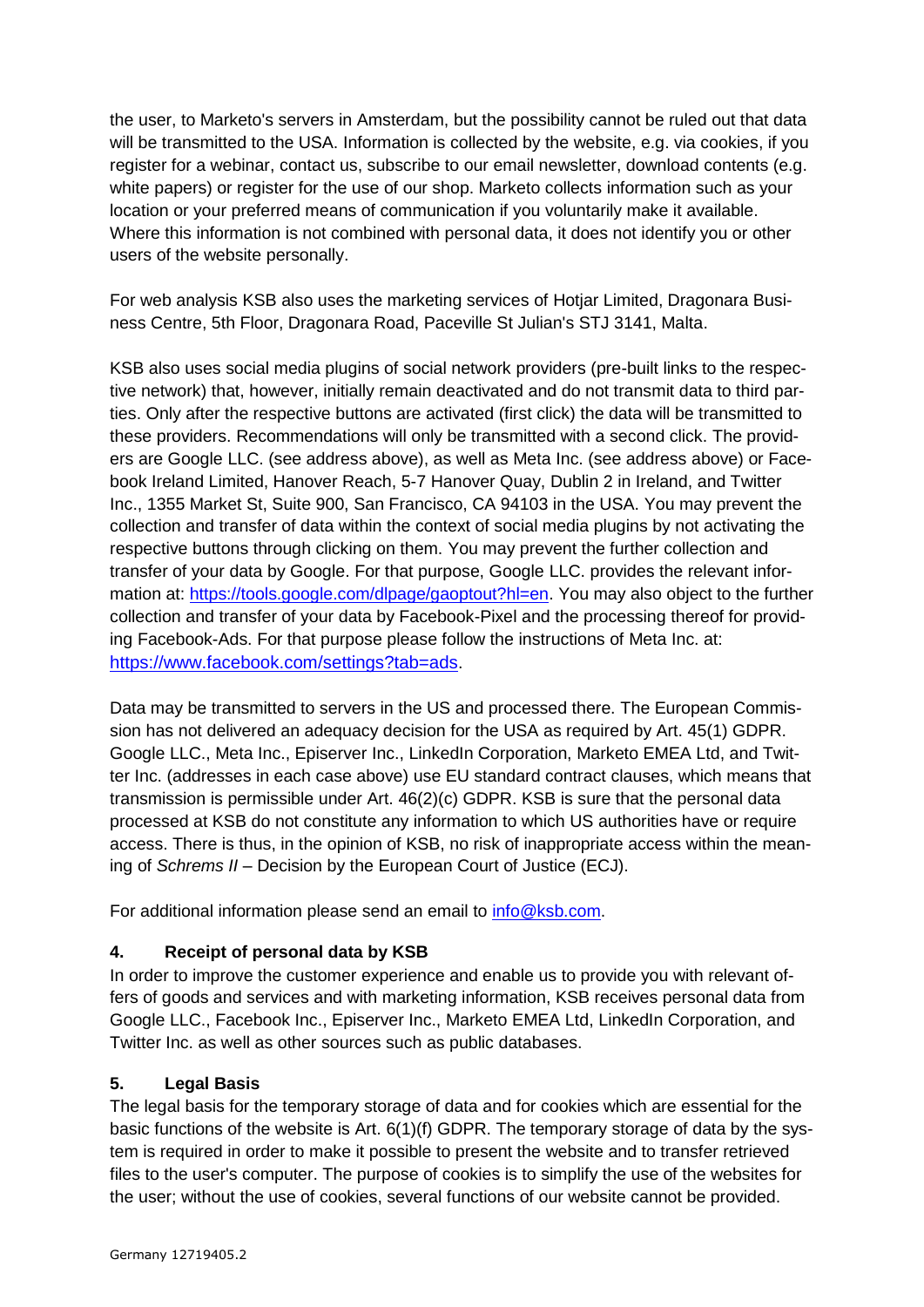the user, to Marketo's servers in Amsterdam, but the possibility cannot be ruled out that data will be transmitted to the USA. Information is collected by the website, e.g. via cookies, if you register for a webinar, contact us, subscribe to our email newsletter, download contents (e.g. white papers) or register for the use of our shop. Marketo collects information such as your location or your preferred means of communication if you voluntarily make it available. Where this information is not combined with personal data, it does not identify you or other users of the website personally.

For web analysis KSB also uses the marketing services of Hotjar Limited, Dragonara Business Centre, 5th Floor, Dragonara Road, Paceville St Julian's STJ 3141, Malta.

KSB also uses social media plugins of social network providers (pre-built links to the respective network) that, however, initially remain deactivated and do not transmit data to third parties. Only after the respective buttons are activated (first click) the data will be transmitted to these providers. Recommendations will only be transmitted with a second click. The providers are Google LLC. (see address above), as well as Meta Inc. (see address above) or Facebook Ireland Limited, Hanover Reach, 5-7 Hanover Quay, Dublin 2 in Ireland, and Twitter Inc., 1355 Market St, Suite 900, San Francisco, CA 94103 in the USA. You may prevent the collection and transfer of data within the context of social media plugins by not activating the respective buttons through clicking on them. You may prevent the further collection and transfer of your data by Google. For that purpose, Google LLC. provides the relevant information at: [https://tools.google.com/dlpage/gaoptout?hl=en.](https://tools.google.com/dlpage/gaoptout?hl=en) You may also object to the further collection and transfer of your data by Facebook-Pixel and the processing thereof for providing Facebook-Ads. For that purpose please follow the instructions of Meta Inc. at: <https://www.facebook.com/settings?tab=ads>.

Data may be transmitted to servers in the US and processed there. The European Commission has not delivered an adequacy decision for the USA as required by Art. 45(1) GDPR. Google LLC., Meta Inc., Episerver Inc., LinkedIn Corporation, Marketo EMEA Ltd, and Twitter Inc. (addresses in each case above) use EU standard contract clauses, which means that transmission is permissible under Art. 46(2)(c) GDPR. KSB is sure that the personal data processed at KSB do not constitute any information to which US authorities have or require access. There is thus, in the opinion of KSB, no risk of inappropriate access within the meaning of *Schrems II* – Decision by the European Court of Justice (ECJ).

For additional information please send an email to [info@ksb.com.](mailto:info@ksb.com)

# **4. Receipt of personal data by KSB**

In order to improve the customer experience and enable us to provide you with relevant offers of goods and services and with marketing information, KSB receives personal data from Google LLC., Facebook Inc., Episerver Inc., Marketo EMEA Ltd, LinkedIn Corporation, and Twitter Inc. as well as other sources such as public databases.

# **5. Legal Basis**

The legal basis for the temporary storage of data and for cookies which are essential for the basic functions of the website is Art. 6(1)(f) GDPR. The temporary storage of data by the system is required in order to make it possible to present the website and to transfer retrieved files to the user's computer. The purpose of cookies is to simplify the use of the websites for the user; without the use of cookies, several functions of our website cannot be provided.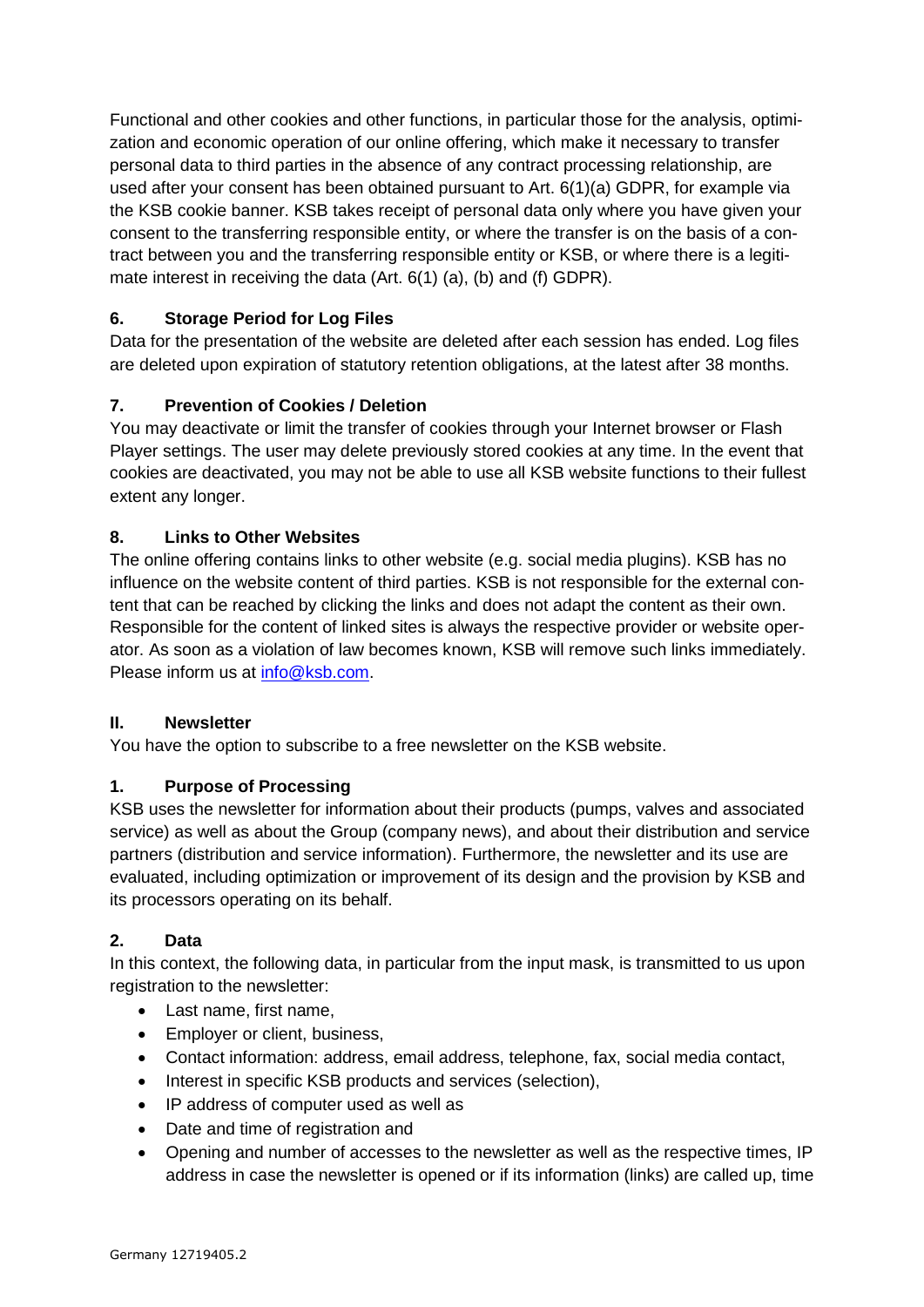Functional and other cookies and other functions, in particular those for the analysis, optimization and economic operation of our online offering, which make it necessary to transfer personal data to third parties in the absence of any contract processing relationship, are used after your consent has been obtained pursuant to Art. 6(1)(a) GDPR, for example via the KSB cookie banner. KSB takes receipt of personal data only where you have given your consent to the transferring responsible entity, or where the transfer is on the basis of a contract between you and the transferring responsible entity or KSB, or where there is a legitimate interest in receiving the data (Art. 6(1) (a), (b) and (f) GDPR).

# **6. Storage Period for Log Files**

Data for the presentation of the website are deleted after each session has ended. Log files are deleted upon expiration of statutory retention obligations, at the latest after 38 months.

# **7. Prevention of Cookies / Deletion**

You may deactivate or limit the transfer of cookies through your Internet browser or Flash Player settings. The user may delete previously stored cookies at any time. In the event that cookies are deactivated, you may not be able to use all KSB website functions to their fullest extent any longer.

# **8. Links to Other Websites**

The online offering contains links to other website (e.g. social media plugins). KSB has no influence on the website content of third parties. KSB is not responsible for the external content that can be reached by clicking the links and does not adapt the content as their own. Responsible for the content of linked sites is always the respective provider or website operator. As soon as a violation of law becomes known, KSB will remove such links immediately. Please inform us at [info@ksb.com.](mailto:info@ksb.com)

### <span id="page-6-0"></span>**II. Newsletter**

You have the option to subscribe to a free newsletter on the KSB website.

# **1. Purpose of Processing**

KSB uses the newsletter for information about their products (pumps, valves and associated service) as well as about the Group (company news), and about their distribution and service partners (distribution and service information). Furthermore, the newsletter and its use are evaluated, including optimization or improvement of its design and the provision by KSB and its processors operating on its behalf.

### **2. Data**

In this context, the following data, in particular from the input mask, is transmitted to us upon registration to the newsletter:

- Last name, first name,
- Employer or client, business,
- Contact information: address, email address, telephone, fax, social media contact,
- Interest in specific KSB products and services (selection),
- IP address of computer used as well as
- Date and time of registration and
- Opening and number of accesses to the newsletter as well as the respective times, IP address in case the newsletter is opened or if its information (links) are called up, time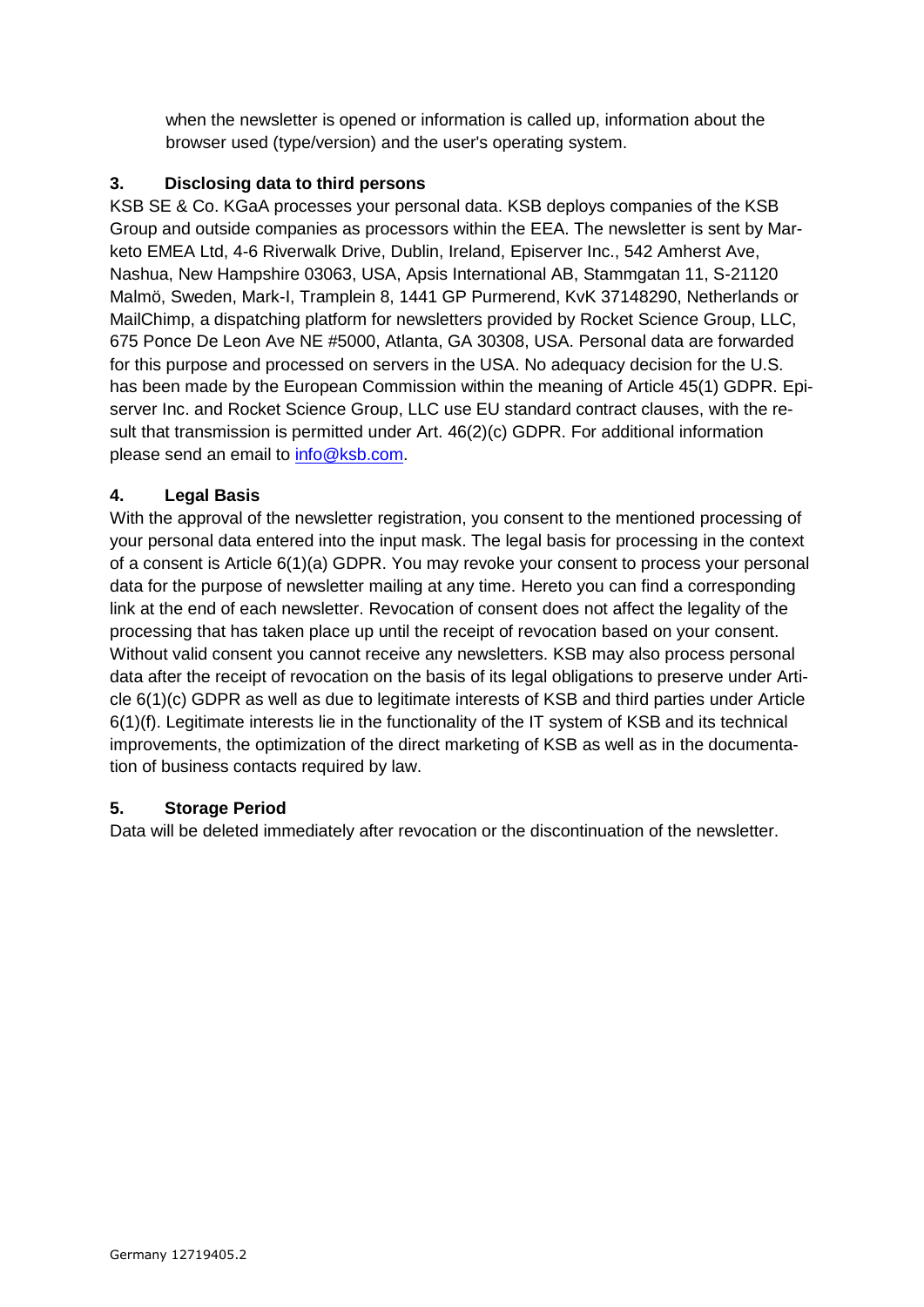when the newsletter is opened or information is called up, information about the browser used (type/version) and the user's operating system.

# **3. Disclosing data to third persons**

KSB SE & Co. KGaA processes your personal data. KSB deploys companies of the KSB Group and outside companies as processors within the EEA. The newsletter is sent by Marketo EMEA Ltd, 4-6 Riverwalk Drive, Dublin, Ireland, Episerver Inc., 542 Amherst Ave, Nashua, New Hampshire 03063, USA, Apsis International AB, Stammgatan 11, S-21120 Malmö, Sweden, Mark-I, Tramplein 8, 1441 GP Purmerend, KvK 37148290, Netherlands or MailChimp, a dispatching platform for newsletters provided by Rocket Science Group, LLC, 675 Ponce De Leon Ave NE #5000, Atlanta, GA 30308, USA. Personal data are forwarded for this purpose and processed on servers in the USA. No adequacy decision for the U.S. has been made by the European Commission within the meaning of Article 45(1) GDPR. Episerver Inc. and Rocket Science Group, LLC use EU standard contract clauses, with the result that transmission is permitted under Art. 46(2)(c) GDPR. For additional information please send an email to [info@ksb.com.](mailto:info@ksb.com)

# **4. Legal Basis**

With the approval of the newsletter registration, you consent to the mentioned processing of your personal data entered into the input mask. The legal basis for processing in the context of a consent is Article 6(1)(a) GDPR. You may revoke your consent to process your personal data for the purpose of newsletter mailing at any time. Hereto you can find a corresponding link at the end of each newsletter. Revocation of consent does not affect the legality of the processing that has taken place up until the receipt of revocation based on your consent. Without valid consent you cannot receive any newsletters. KSB may also process personal data after the receipt of revocation on the basis of its legal obligations to preserve under Article 6(1)(c) GDPR as well as due to legitimate interests of KSB and third parties under Article 6(1)(f). Legitimate interests lie in the functionality of the IT system of KSB and its technical improvements, the optimization of the direct marketing of KSB as well as in the documentation of business contacts required by law.

# **5. Storage Period**

<span id="page-7-0"></span>Data will be deleted immediately after revocation or the discontinuation of the newsletter.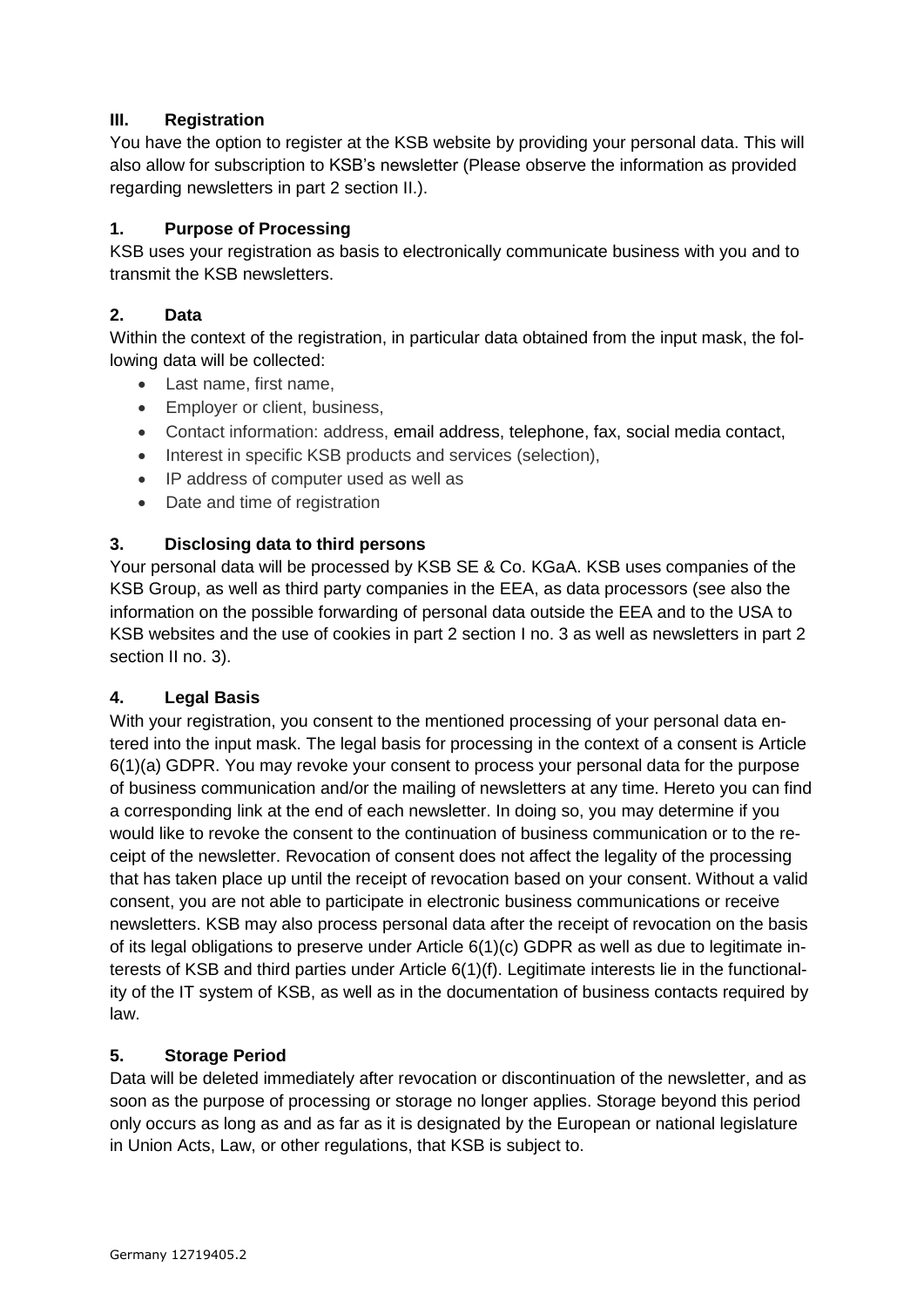# **III. Registration**

You have the option to register at the KSB website by providing your personal data. This will also allow for subscription to KSB's newsletter (Please observe the information as provided regarding newsletters in part 2 section II.).

# **1. Purpose of Processing**

KSB uses your registration as basis to electronically communicate business with you and to transmit the KSB newsletters.

# **2. Data**

Within the context of the registration, in particular data obtained from the input mask, the following data will be collected:

- Last name, first name,
- Employer or client, business,
- Contact information: address, email address, telephone, fax, social media contact,
- Interest in specific KSB products and services (selection),
- IP address of computer used as well as
- Date and time of registration

# **3. Disclosing data to third persons**

Your personal data will be processed by KSB SE & Co. KGaA. KSB uses companies of the KSB Group, as well as third party companies in the EEA, as data processors (see also the information on the possible forwarding of personal data outside the EEA and to the USA to KSB websites and the use of cookies in part 2 section I no. 3 as well as newsletters in part 2 section II no. 3).

# **4. Legal Basis**

With your registration, you consent to the mentioned processing of your personal data entered into the input mask. The legal basis for processing in the context of a consent is Article 6(1)(a) GDPR. You may revoke your consent to process your personal data for the purpose of business communication and/or the mailing of newsletters at any time. Hereto you can find a corresponding link at the end of each newsletter. In doing so, you may determine if you would like to revoke the consent to the continuation of business communication or to the receipt of the newsletter. Revocation of consent does not affect the legality of the processing that has taken place up until the receipt of revocation based on your consent. Without a valid consent, you are not able to participate in electronic business communications or receive newsletters. KSB may also process personal data after the receipt of revocation on the basis of its legal obligations to preserve under Article 6(1)(c) GDPR as well as due to legitimate interests of KSB and third parties under Article 6(1)(f). Legitimate interests lie in the functionality of the IT system of KSB, as well as in the documentation of business contacts required by law.

# **5. Storage Period**

Data will be deleted immediately after revocation or discontinuation of the newsletter, and as soon as the purpose of processing or storage no longer applies. Storage beyond this period only occurs as long as and as far as it is designated by the European or national legislature in Union Acts, Law, or other regulations, that KSB is subject to.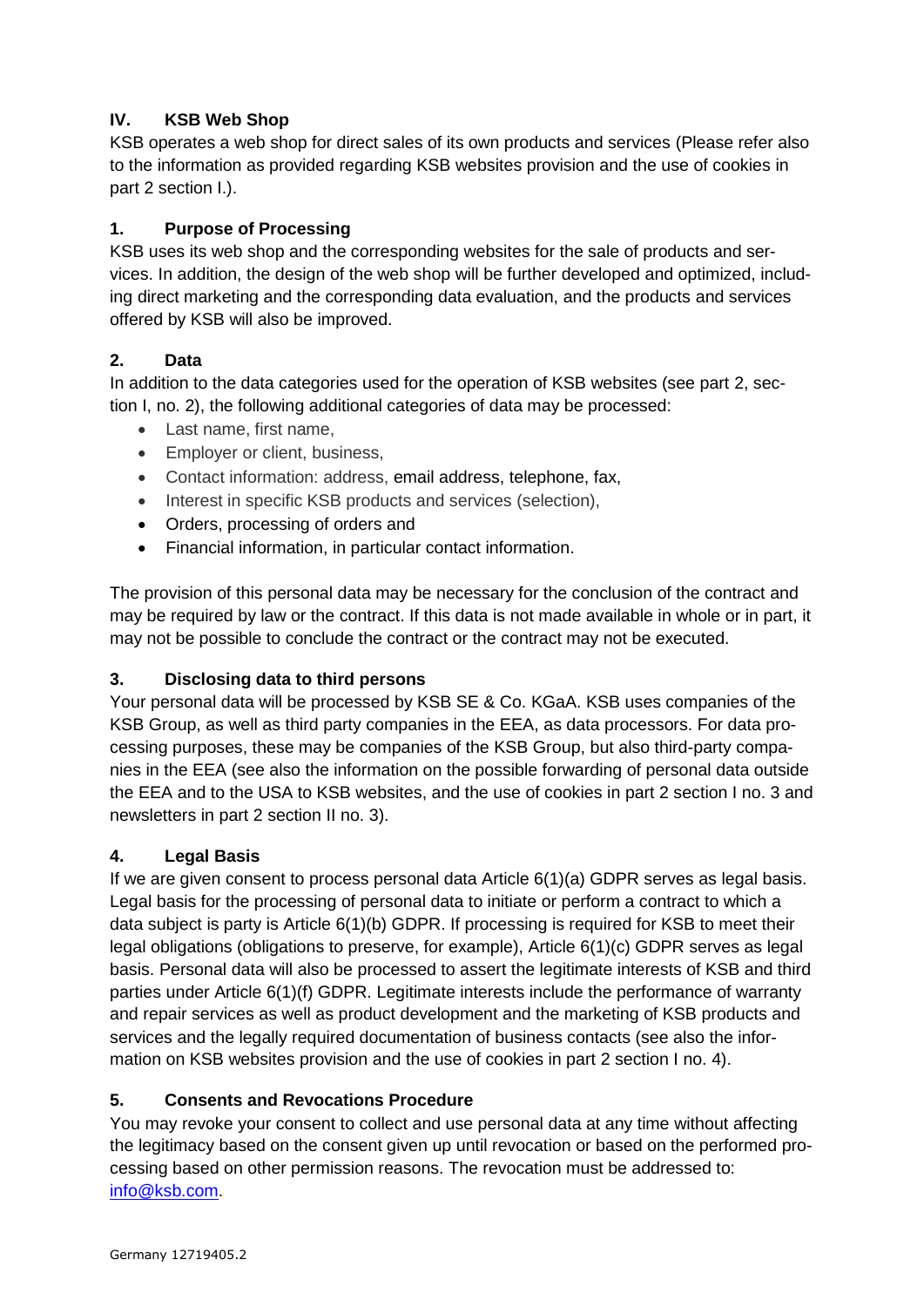# <span id="page-9-0"></span>**IV. KSB Web Shop**

KSB operates a web shop for direct sales of its own products and services (Please refer also to the information as provided regarding KSB websites provision and the use of cookies in part 2 section I.).

# **1. Purpose of Processing**

KSB uses its web shop and the corresponding websites for the sale of products and services. In addition, the design of the web shop will be further developed and optimized, including direct marketing and the corresponding data evaluation, and the products and services offered by KSB will also be improved.

# **2. Data**

In addition to the data categories used for the operation of KSB websites (see part 2, section I, no. 2), the following additional categories of data may be processed:

- Last name, first name,
- Employer or client, business,
- Contact information: address, email address, telephone, fax,
- Interest in specific KSB products and services (selection),
- Orders, processing of orders and
- Financial information, in particular contact information.

The provision of this personal data may be necessary for the conclusion of the contract and may be required by law or the contract. If this data is not made available in whole or in part, it may not be possible to conclude the contract or the contract may not be executed.

# **3. Disclosing data to third persons**

Your personal data will be processed by KSB SE & Co. KGaA. KSB uses companies of the KSB Group, as well as third party companies in the EEA, as data processors. For data processing purposes, these may be companies of the KSB Group, but also third-party companies in the EEA (see also the information on the possible forwarding of personal data outside the EEA and to the USA to KSB websites, and the use of cookies in part 2 section I no. 3 and newsletters in part 2 section II no. 3).

# **4. Legal Basis**

If we are given consent to process personal data Article 6(1)(a) GDPR serves as legal basis. Legal basis for the processing of personal data to initiate or perform a contract to which a data subject is party is Article 6(1)(b) GDPR. If processing is required for KSB to meet their legal obligations (obligations to preserve, for example), Article 6(1)(c) GDPR serves as legal basis. Personal data will also be processed to assert the legitimate interests of KSB and third parties under Article 6(1)(f) GDPR. Legitimate interests include the performance of warranty and repair services as well as product development and the marketing of KSB products and services and the legally required documentation of business contacts (see also the information on KSB websites provision and the use of cookies in part 2 section I no. 4).

# **5. Consents and Revocations Procedure**

You may revoke your consent to collect and use personal data at any time without affecting the legitimacy based on the consent given up until revocation or based on the performed processing based on other permission reasons. The revocation must be addressed to: [info@ksb.com.](mailto:info@ksb.com)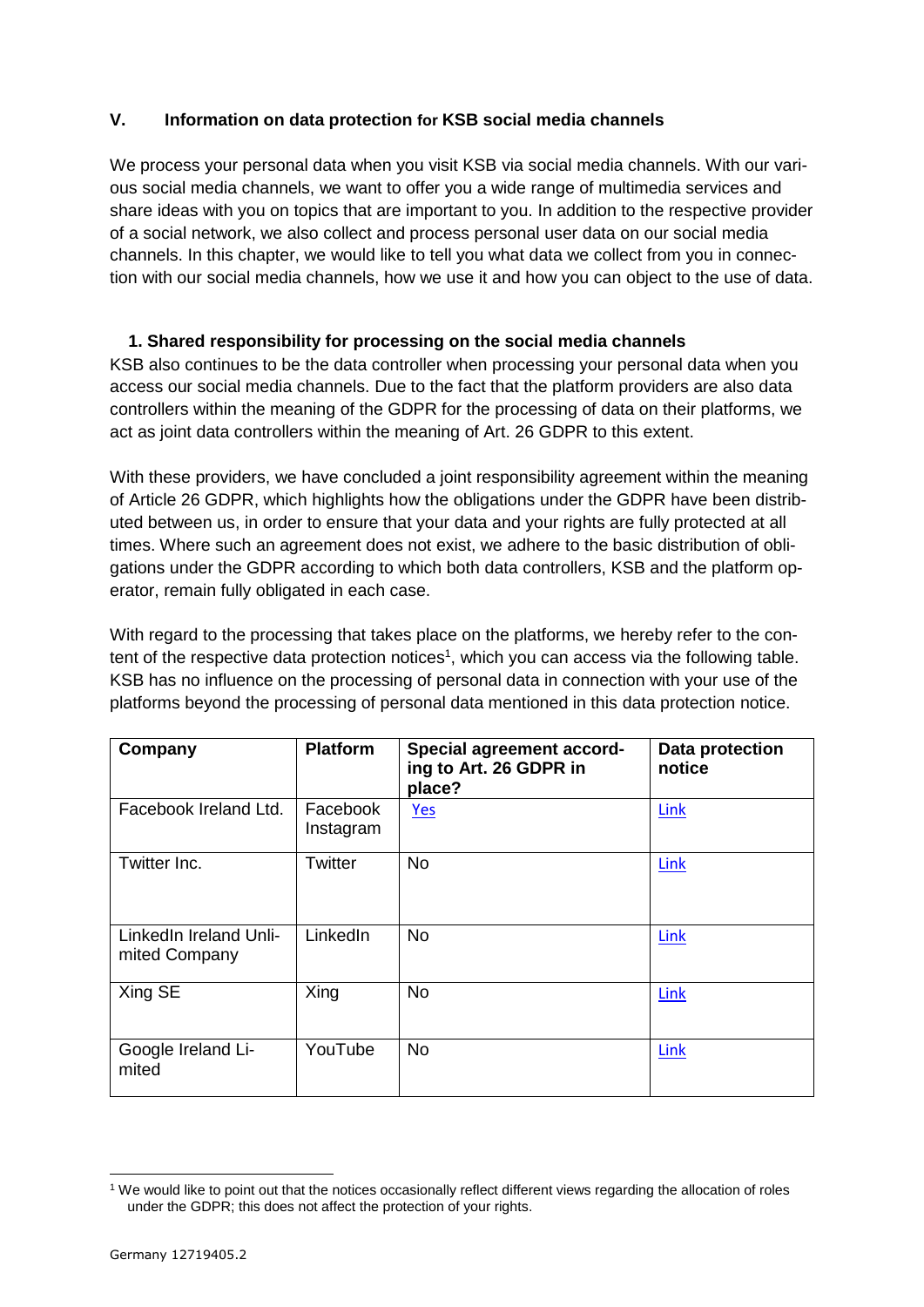# <span id="page-10-0"></span>**V. Information on data protection for KSB social media channels**

We process your personal data when you visit KSB via social media channels. With our various social media channels, we want to offer you a wide range of multimedia services and share ideas with you on topics that are important to you. In addition to the respective provider of a social network, we also collect and process personal user data on our social media channels. In this chapter, we would like to tell you what data we collect from you in connection with our social media channels, how we use it and how you can object to the use of data.

### **1. Shared responsibility for processing on the social media channels**

KSB also continues to be the data controller when processing your personal data when you access our social media channels. Due to the fact that the platform providers are also data controllers within the meaning of the GDPR for the processing of data on their platforms, we act as joint data controllers within the meaning of Art. 26 GDPR to this extent.

With these providers, we have concluded a joint responsibility agreement within the meaning of Article 26 GDPR, which highlights how the obligations under the GDPR have been distributed between us, in order to ensure that your data and your rights are fully protected at all times. Where such an agreement does not exist, we adhere to the basic distribution of obligations under the GDPR according to which both data controllers, KSB and the platform operator, remain fully obligated in each case.

With regard to the processing that takes place on the platforms, we hereby refer to the content of the respective data protection notices<sup>1</sup>, which you can access via the following table. KSB has no influence on the processing of personal data in connection with your use of the platforms beyond the processing of personal data mentioned in this data protection notice.

| Company                                 | <b>Platform</b>       | Special agreement accord-<br>ing to Art. 26 GDPR in<br>place? | Data protection<br>notice |
|-----------------------------------------|-----------------------|---------------------------------------------------------------|---------------------------|
| Facebook Ireland Ltd.                   | Facebook<br>Instagram | Yes                                                           | Link                      |
| Twitter Inc.                            | Twitter               | <b>No</b>                                                     | Link                      |
| LinkedIn Ireland Unli-<br>mited Company | LinkedIn              | <b>No</b>                                                     | Link                      |
| Xing SE                                 | Xing                  | <b>No</b>                                                     | Link                      |
| Google Ireland Li-<br>mited             | YouTube               | <b>No</b>                                                     | Link                      |

<sup>1</sup> <sup>1</sup> We would like to point out that the notices occasionally reflect different views regarding the allocation of roles under the GDPR; this does not affect the protection of your rights.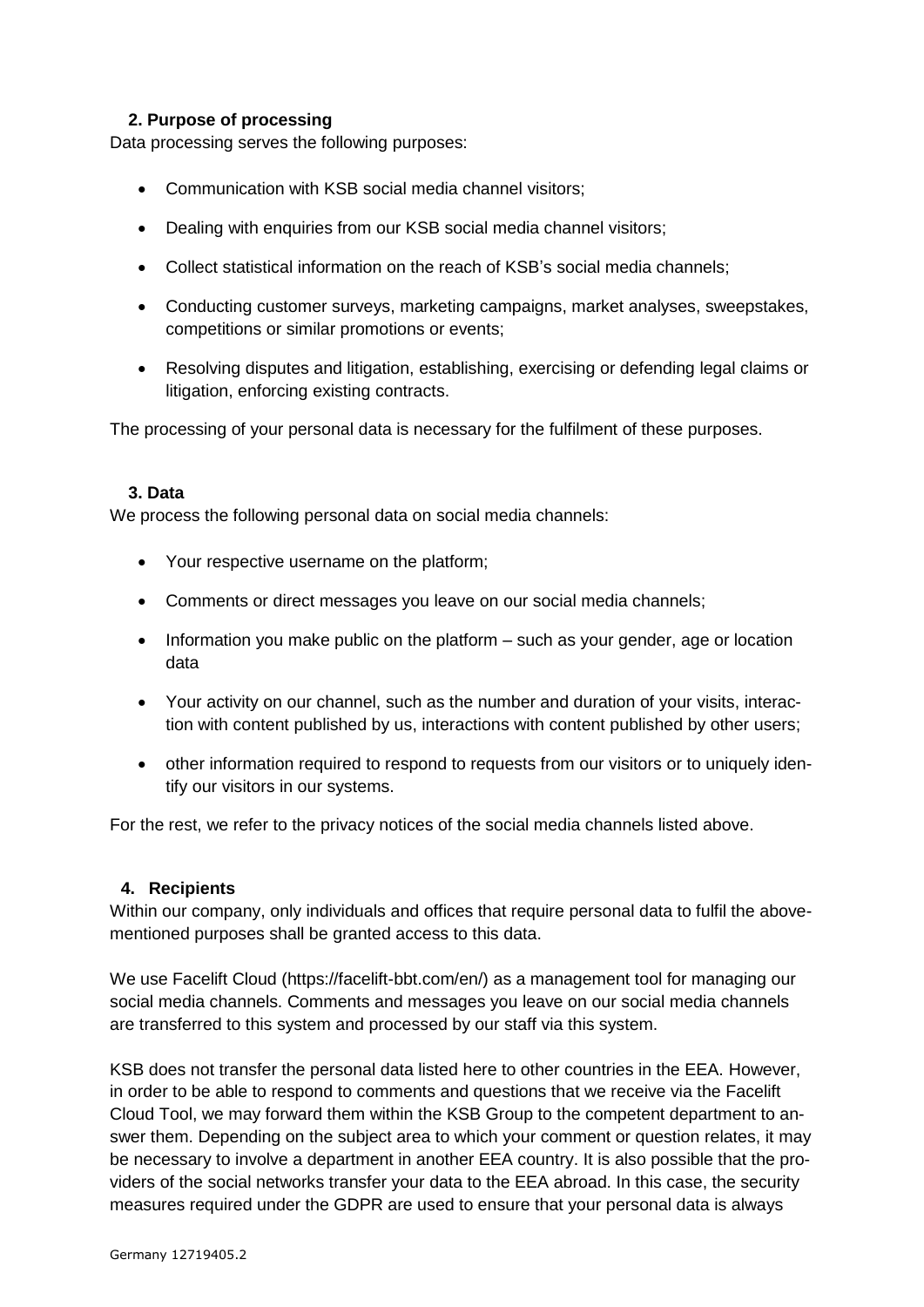# **2. Purpose of processing**

Data processing serves the following purposes:

- Communication with KSB social media channel visitors;
- Dealing with enquiries from our KSB social media channel visitors;
- Collect statistical information on the reach of KSB's social media channels;
- Conducting customer surveys, marketing campaigns, market analyses, sweepstakes, competitions or similar promotions or events;
- Resolving disputes and litigation, establishing, exercising or defending legal claims or litigation, enforcing existing contracts.

The processing of your personal data is necessary for the fulfilment of these purposes.

#### **3. Data**

We process the following personal data on social media channels:

- Your respective username on the platform;
- Comments or direct messages you leave on our social media channels;
- $\bullet$  Information you make public on the platform  $-$  such as your gender, age or location data
- Your activity on our channel, such as the number and duration of your visits, interaction with content published by us, interactions with content published by other users;
- other information required to respond to requests from our visitors or to uniquely identify our visitors in our systems.

For the rest, we refer to the privacy notices of the social media channels listed above.

#### **4. Recipients**

Within our company, only individuals and offices that require personal data to fulfil the abovementioned purposes shall be granted access to this data.

We use Facelift Cloud (https://facelift-bbt.com/en/) as a management tool for managing our social media channels. Comments and messages you leave on our social media channels are transferred to this system and processed by our staff via this system.

KSB does not transfer the personal data listed here to other countries in the EEA. However, in order to be able to respond to comments and questions that we receive via the Facelift Cloud Tool, we may forward them within the KSB Group to the competent department to answer them. Depending on the subject area to which your comment or question relates, it may be necessary to involve a department in another EEA country. It is also possible that the providers of the social networks transfer your data to the EEA abroad. In this case, the security measures required under the GDPR are used to ensure that your personal data is always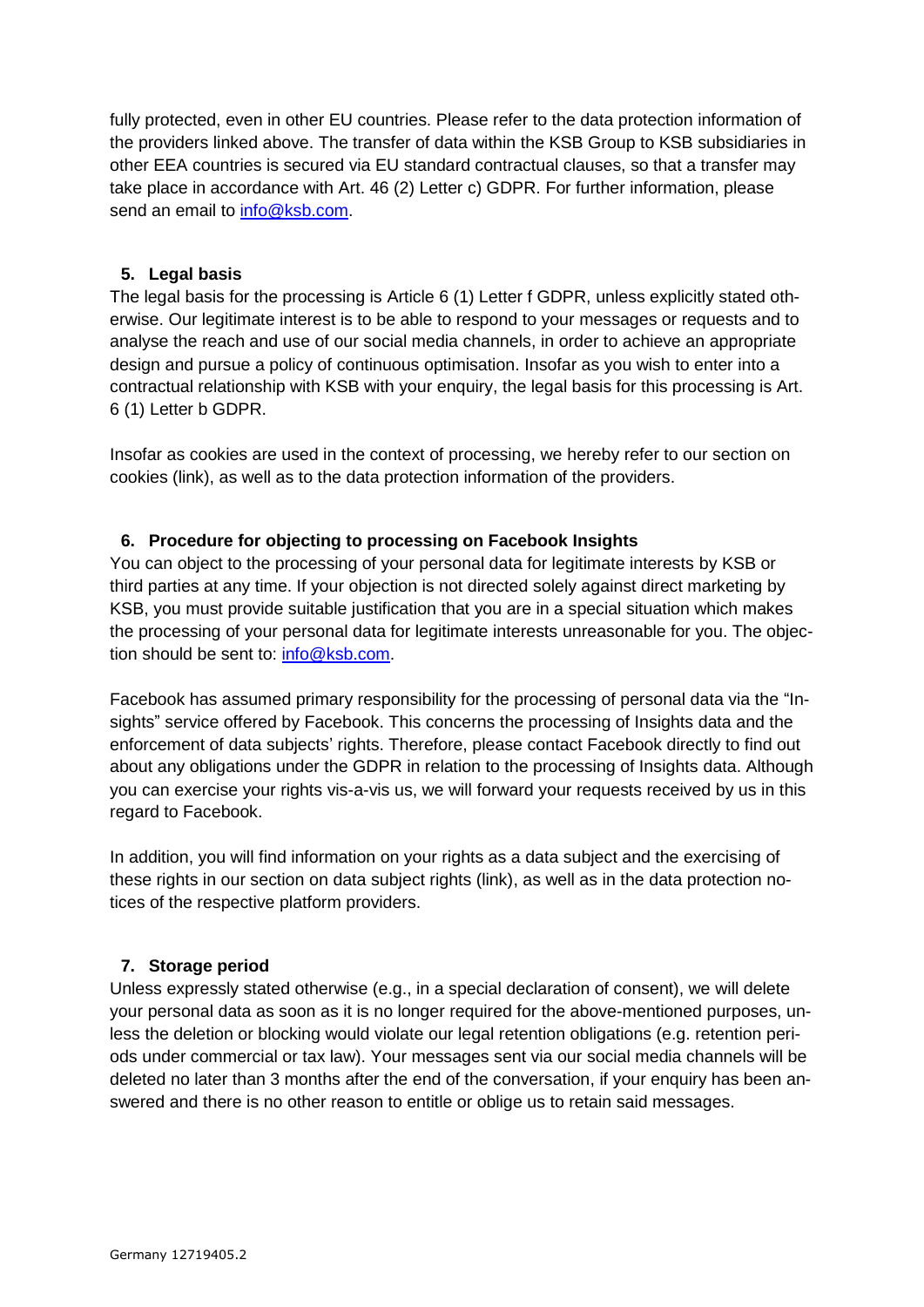fully protected, even in other EU countries. Please refer to the data protection information of the providers linked above. The transfer of data within the KSB Group to KSB subsidiaries in other EEA countries is secured via EU standard contractual clauses, so that a transfer may take place in accordance with Art. 46 (2) Letter c) GDPR. For further information, please send an email to [info@ksb.com.](mailto:info@ksb.com)

### **5. Legal basis**

The legal basis for the processing is Article 6 (1) Letter f GDPR, unless explicitly stated otherwise. Our legitimate interest is to be able to respond to your messages or requests and to analyse the reach and use of our social media channels, in order to achieve an appropriate design and pursue a policy of continuous optimisation. Insofar as you wish to enter into a contractual relationship with KSB with your enquiry, the legal basis for this processing is Art. 6 (1) Letter b GDPR.

Insofar as cookies are used in the context of processing, we hereby refer to our section on cookies (link), as well as to the data protection information of the providers.

### **6. Procedure for objecting to processing on Facebook Insights**

You can object to the processing of your personal data for legitimate interests by KSB or third parties at any time. If your objection is not directed solely against direct marketing by KSB, you must provide suitable justification that you are in a special situation which makes the processing of your personal data for legitimate interests unreasonable for you. The objection should be sent to: [info@ksb.com.](mailto:info@ksb.com)

Facebook has assumed primary responsibility for the processing of personal data via the "Insights" service offered by Facebook. This concerns the processing of Insights data and the enforcement of data subjects' rights. Therefore, please contact Facebook directly to find out about any obligations under the GDPR in relation to the processing of Insights data. Although you can exercise your rights vis-a-vis us, we will forward your requests received by us in this regard to Facebook.

In addition, you will find information on your rights as a data subject and the exercising of these rights in our section on data subject rights (link), as well as in the data protection notices of the respective platform providers.

# **7. Storage period**

Unless expressly stated otherwise (e.g., in a special declaration of consent), we will delete your personal data as soon as it is no longer required for the above-mentioned purposes, unless the deletion or blocking would violate our legal retention obligations (e.g. retention periods under commercial or tax law). Your messages sent via our social media channels will be deleted no later than 3 months after the end of the conversation, if your enquiry has been answered and there is no other reason to entitle or oblige us to retain said messages.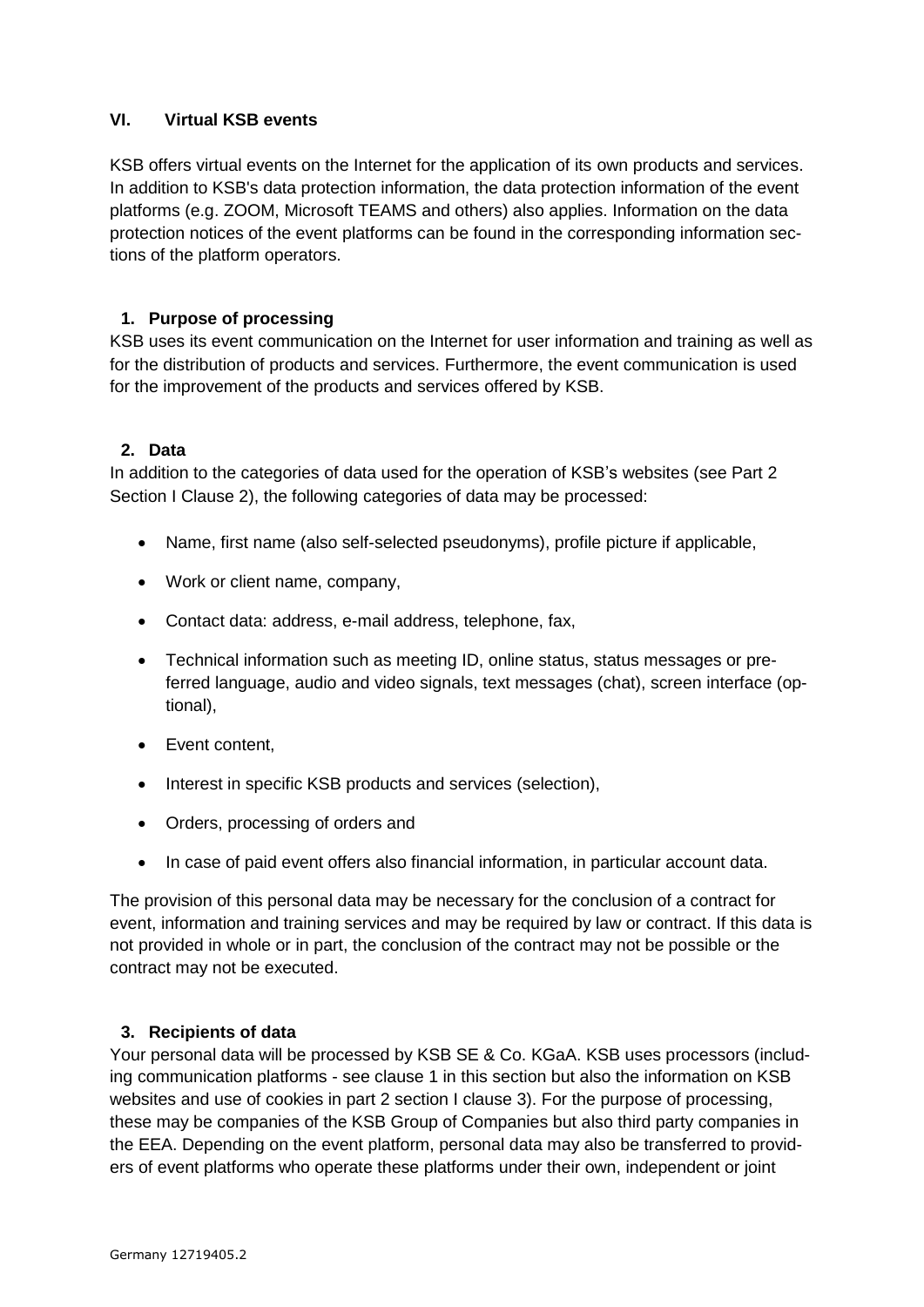### <span id="page-13-0"></span>**VI. Virtual KSB events**

KSB offers virtual events on the Internet for the application of its own products and services. In addition to KSB's data protection information, the data protection information of the event platforms (e.g. ZOOM, Microsoft TEAMS and others) also applies. Information on the data protection notices of the event platforms can be found in the corresponding information sections of the platform operators.

# **1. Purpose of processing**

KSB uses its event communication on the Internet for user information and training as well as for the distribution of products and services. Furthermore, the event communication is used for the improvement of the products and services offered by KSB.

### **2. Data**

In addition to the categories of data used for the operation of KSB's websites (see Part 2 Section I Clause 2), the following categories of data may be processed:

- Name, first name (also self-selected pseudonyms), profile picture if applicable,
- Work or client name, company,
- Contact data: address, e-mail address, telephone, fax,
- Technical information such as meeting ID, online status, status messages or preferred language, audio and video signals, text messages (chat), screen interface (optional),
- Event content.
- Interest in specific KSB products and services (selection),
- Orders, processing of orders and
- In case of paid event offers also financial information, in particular account data.

The provision of this personal data may be necessary for the conclusion of a contract for event, information and training services and may be required by law or contract. If this data is not provided in whole or in part, the conclusion of the contract may not be possible or the contract may not be executed.

### **3. Recipients of data**

Your personal data will be processed by KSB SE & Co. KGaA. KSB uses processors (including communication platforms - see clause 1 in this section but also the information on KSB websites and use of cookies in part 2 section I clause 3). For the purpose of processing, these may be companies of the KSB Group of Companies but also third party companies in the EEA. Depending on the event platform, personal data may also be transferred to providers of event platforms who operate these platforms under their own, independent or joint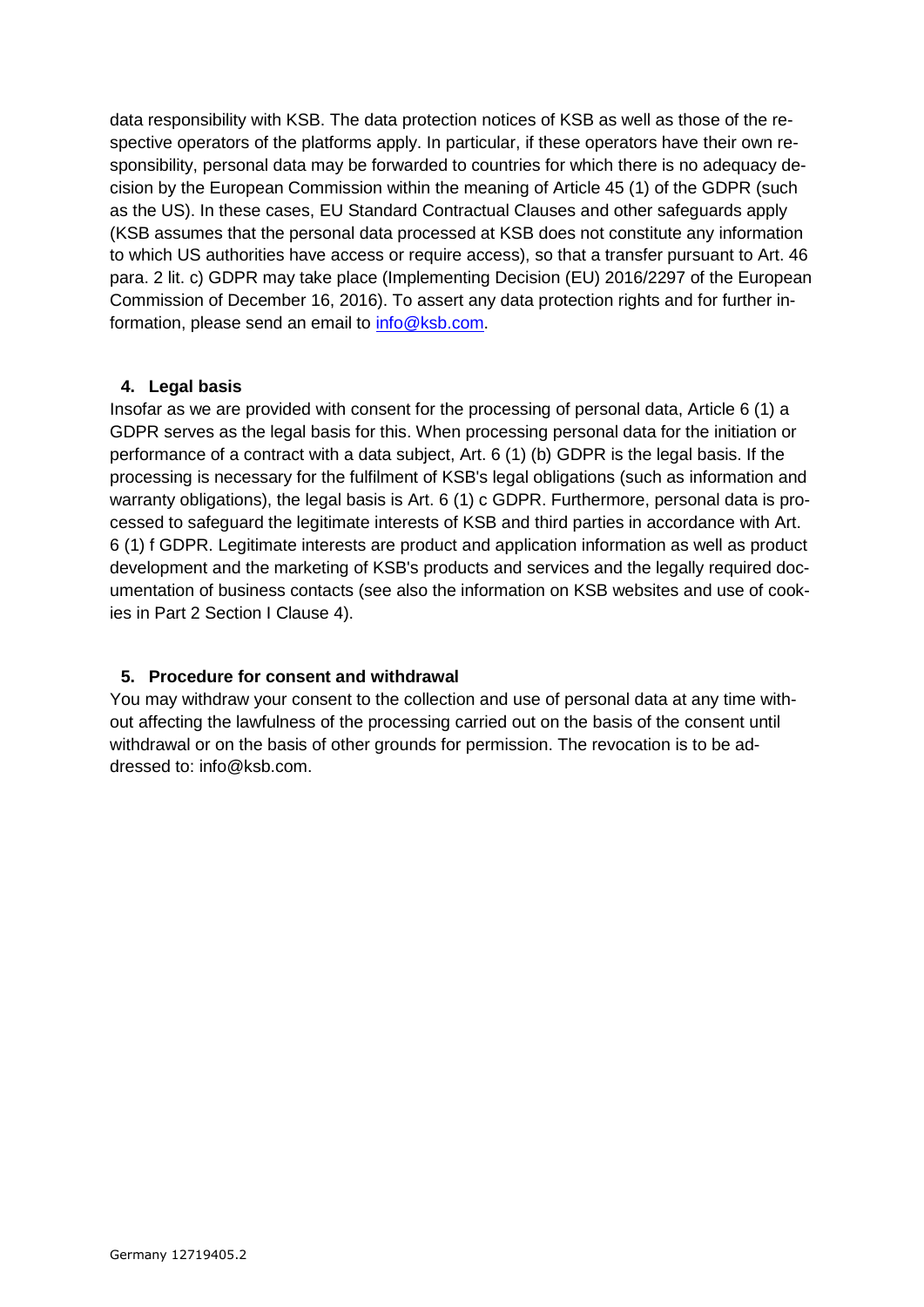data responsibility with KSB. The data protection notices of KSB as well as those of the respective operators of the platforms apply. In particular, if these operators have their own responsibility, personal data may be forwarded to countries for which there is no adequacy decision by the European Commission within the meaning of Article 45 (1) of the GDPR (such as the US). In these cases, EU Standard Contractual Clauses and other safeguards apply (KSB assumes that the personal data processed at KSB does not constitute any information to which US authorities have access or require access), so that a transfer pursuant to Art. 46 para. 2 lit. c) GDPR may take place (Implementing Decision (EU) 2016/2297 of the European Commission of December 16, 2016). To assert any data protection rights and for further information, please send an email to [info@ksb.com.](mailto:info@ksb.com)

### **4. Legal basis**

Insofar as we are provided with consent for the processing of personal data, Article 6 (1) a GDPR serves as the legal basis for this. When processing personal data for the initiation or performance of a contract with a data subject, Art. 6 (1) (b) GDPR is the legal basis. If the processing is necessary for the fulfilment of KSB's legal obligations (such as information and warranty obligations), the legal basis is Art. 6 (1) c GDPR. Furthermore, personal data is processed to safeguard the legitimate interests of KSB and third parties in accordance with Art. 6 (1) f GDPR. Legitimate interests are product and application information as well as product development and the marketing of KSB's products and services and the legally required documentation of business contacts (see also the information on KSB websites and use of cookies in Part 2 Section I Clause 4).

# **5. Procedure for consent and withdrawal**

<span id="page-14-0"></span>You may withdraw your consent to the collection and use of personal data at any time without affecting the lawfulness of the processing carried out on the basis of the consent until withdrawal or on the basis of other grounds for permission. The revocation is to be addressed to: info@ksb.com.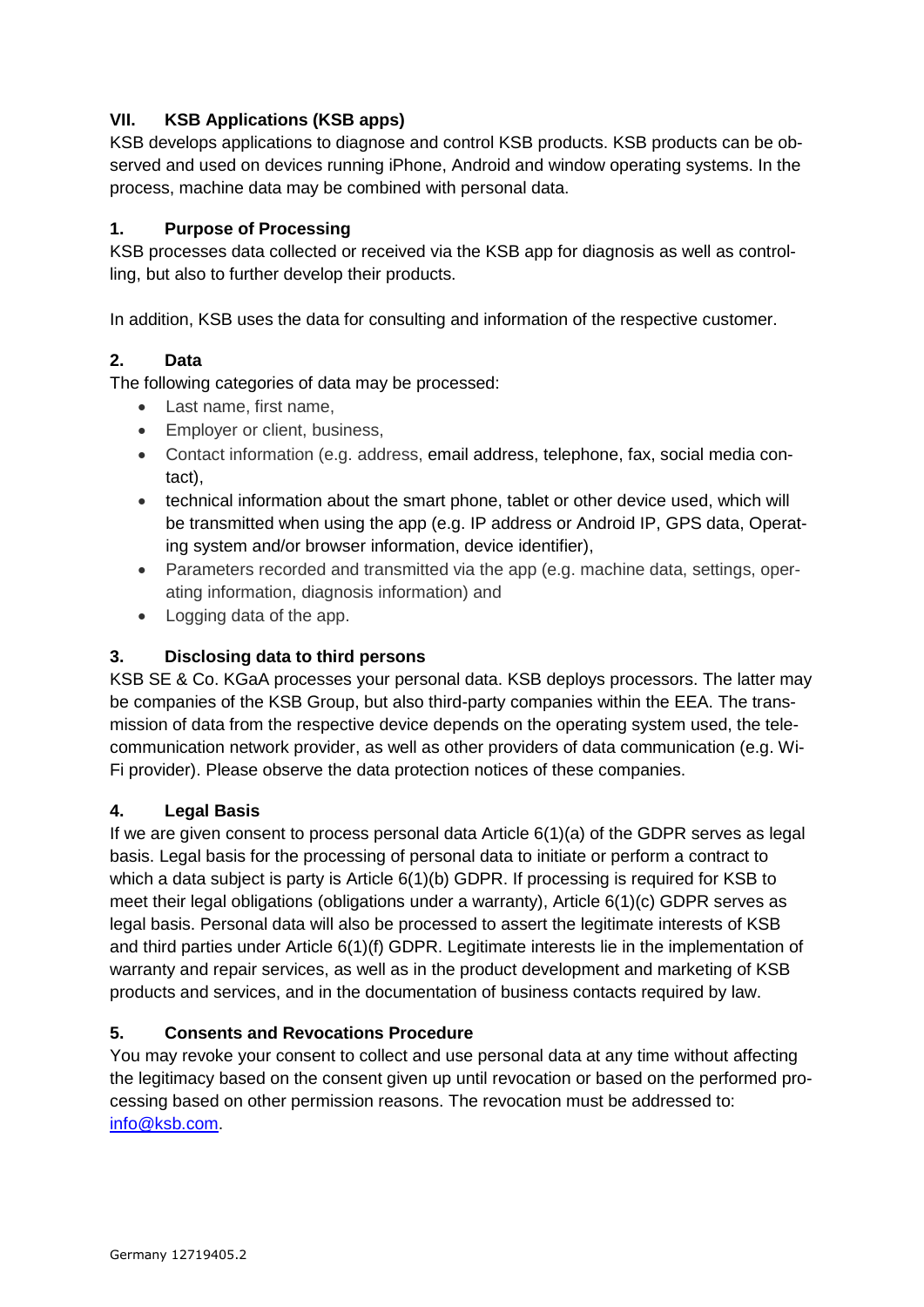# **VII. KSB Applications (KSB apps)**

KSB develops applications to diagnose and control KSB products. KSB products can be observed and used on devices running iPhone, Android and window operating systems. In the process, machine data may be combined with personal data.

# **1. Purpose of Processing**

KSB processes data collected or received via the KSB app for diagnosis as well as controlling, but also to further develop their products.

In addition, KSB uses the data for consulting and information of the respective customer.

### **2. Data**

The following categories of data may be processed:

- Last name, first name,
- Employer or client, business,
- Contact information (e.g. address, email address, telephone, fax, social media contact),
- technical information about the smart phone, tablet or other device used, which will be transmitted when using the app (e.g. IP address or Android IP, GPS data, Operating system and/or browser information, device identifier),
- Parameters recorded and transmitted via the app (e.g. machine data, settings, operating information, diagnosis information) and
- Logging data of the app.

### **3. Disclosing data to third persons**

KSB SE & Co. KGaA processes your personal data. KSB deploys processors. The latter may be companies of the KSB Group, but also third-party companies within the EEA. The transmission of data from the respective device depends on the operating system used, the telecommunication network provider, as well as other providers of data communication (e.g. Wi-Fi provider). Please observe the data protection notices of these companies.

### **4. Legal Basis**

If we are given consent to process personal data Article 6(1)(a) of the GDPR serves as legal basis. Legal basis for the processing of personal data to initiate or perform a contract to which a data subject is party is Article 6(1)(b) GDPR. If processing is required for KSB to meet their legal obligations (obligations under a warranty), Article 6(1)(c) GDPR serves as legal basis. Personal data will also be processed to assert the legitimate interests of KSB and third parties under Article 6(1)(f) GDPR. Legitimate interests lie in the implementation of warranty and repair services, as well as in the product development and marketing of KSB products and services, and in the documentation of business contacts required by law.

# **5. Consents and Revocations Procedure**

<span id="page-15-0"></span>You may revoke your consent to collect and use personal data at any time without affecting the legitimacy based on the consent given up until revocation or based on the performed processing based on other permission reasons. The revocation must be addressed to: [info@ksb.com.](mailto:info@ksb.com)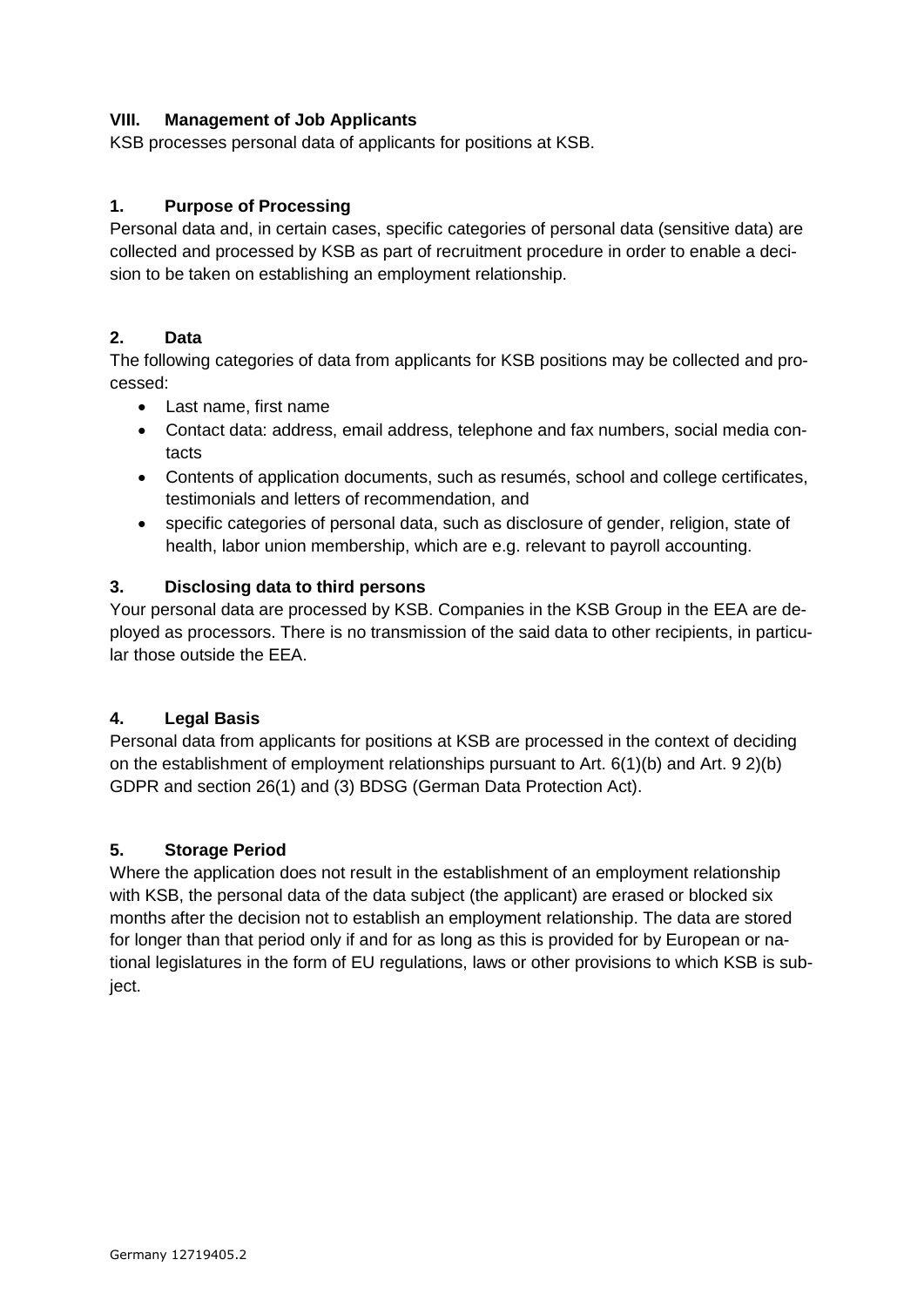# **VIII. Management of Job Applicants**

KSB processes personal data of applicants for positions at KSB.

### **1. Purpose of Processing**

Personal data and, in certain cases, specific categories of personal data (sensitive data) are collected and processed by KSB as part of recruitment procedure in order to enable a decision to be taken on establishing an employment relationship.

# **2. Data**

The following categories of data from applicants for KSB positions may be collected and processed:

- Last name, first name
- Contact data: address, email address, telephone and fax numbers, social media contacts
- Contents of application documents, such as resumés, school and college certificates, testimonials and letters of recommendation, and
- specific categories of personal data, such as disclosure of gender, religion, state of health, labor union membership, which are e.g. relevant to payroll accounting.

### **3. Disclosing data to third persons**

Your personal data are processed by KSB. Companies in the KSB Group in the EEA are deployed as processors. There is no transmission of the said data to other recipients, in particular those outside the EEA.

### **4. Legal Basis**

Personal data from applicants for positions at KSB are processed in the context of deciding on the establishment of employment relationships pursuant to Art. 6(1)(b) and Art. 9 2)(b) GDPR and section 26(1) and (3) BDSG (German Data Protection Act).

### **5. Storage Period**

<span id="page-16-0"></span>Where the application does not result in the establishment of an employment relationship with KSB, the personal data of the data subject (the applicant) are erased or blocked six months after the decision not to establish an employment relationship. The data are stored for longer than that period only if and for as long as this is provided for by European or national legislatures in the form of EU regulations, laws or other provisions to which KSB is subject.